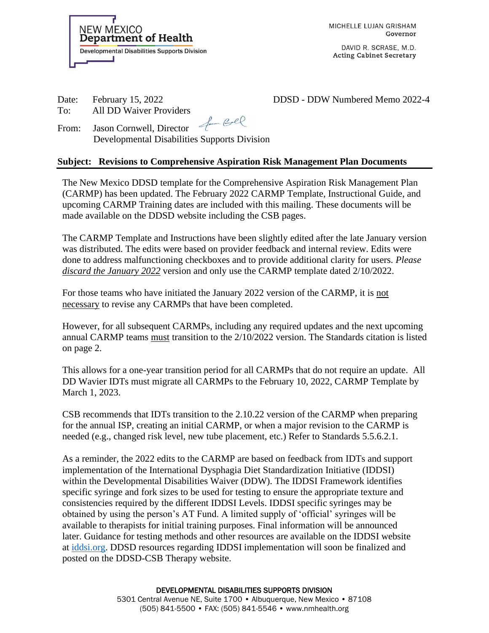**NEW MEXICO Department of Health Developmental Disabilities Supports Division**  MICHELLE LUJAN GRISHAM Governor

DAVID R. SCRASE, M.D. **Acting Cabinet Secretary** 

To: All DD Waiver Providers

Date: February 15, 2022 DDSD - DDSD - DDW Numbered Memo 2022-4

From: Jason Cornwell, Director Developmental Disabilities Supports Division

## **Subject: Revisions to Comprehensive Aspiration Risk Management Plan Documents**

The New Mexico DDSD template for the Comprehensive Aspiration Risk Management Plan (CARMP) has been updated. The February 2022 CARMP Template, Instructional Guide, and upcoming CARMP Training dates are included with this mailing. These documents will be made available on the DDSD website including the CSB pages.

The CARMP Template and Instructions have been slightly edited after the late January version was distributed. The edits were based on provider feedback and internal review. Edits were done to address malfunctioning checkboxes and to provide additional clarity for users. *Please discard the January 2022* version and only use the CARMP template dated 2/10/2022.

For those teams who have initiated the January 2022 version of the CARMP, it is not necessary to revise any CARMPs that have been completed.

However, for all subsequent CARMPs, including any required updates and the next upcoming annual CARMP teams must transition to the 2/10/2022 version. The Standards citation is listed on page 2.

This allows for a one-year transition period for all CARMPs that do not require an update. All DD Wavier IDTs must migrate all CARMPs to the February 10, 2022, CARMP Template by March 1, 2023.

CSB recommends that IDTs transition to the 2.10.22 version of the CARMP when preparing for the annual ISP, creating an initial CARMP, or when a major revision to the CARMP is needed (e.g., changed risk level, new tube placement, etc.) Refer to Standards 5.5.6.2.1.

As a reminder, the 2022 edits to the CARMP are based on feedback from IDTs and support implementation of the International Dysphagia Diet Standardization Initiative (IDDSI) within the Developmental Disabilities Waiver (DDW). The IDDSI Framework identifies specific syringe and fork sizes to be used for testing to ensure the appropriate texture and consistencies required by the different IDDSI Levels. IDDSI specific syringes may be obtained by using the person's AT Fund. A limited supply of 'official' syringes will be available to therapists for initial training purposes. Final information will be announced later. Guidance for testing methods and other resources are available on the IDDSI website at [iddsi.org.](file://///dohrg3botwmnas/nasshare/ddsd/users/Elizabeth.Finley/Betsy%20Work/My%20Documents/CARMP%202022/CARMP%202022%20Handout/iddsi.org) DDSD resources regarding IDDSI implementation will soon be finalized and posted on the DDSD-CSB Therapy website.